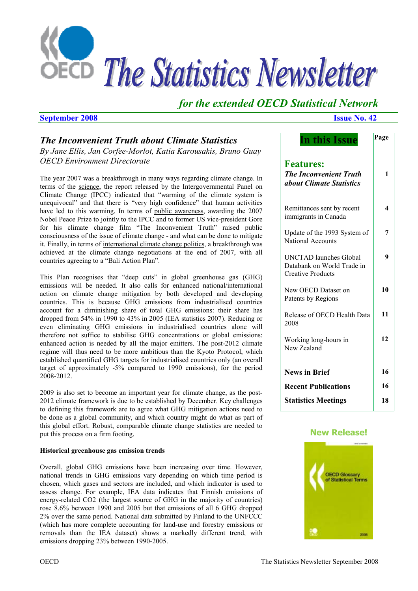

# *for the extended OECD Statistical Network*

#### **September 2008 Issue No. 42**

# *The Inconvenient Truth about Climate Statistics*

*By Jane Ellis, Jan Corfee-Morlot, Katia Karousakis, Bruno Guay OECD Environment Directorate* 

The year 2007 was a breakthrough in many ways regarding climate change. In terms of the science, the report released by the Intergovernmental Panel on Climate Change (IPCC) indicated that "warming of the climate system is unequivocal" and that there is "very high confidence" that human activities have led to this warming. In terms of public awareness, awarding the 2007 Nobel Peace Prize to jointly to the IPCC and to former US vice-president Gore for his climate change film "The Inconvenient Truth" raised public consciousness of the issue of climate change - and what can be done to mitigate it. Finally, in terms of international climate change politics, a breakthrough was achieved at the climate change negotiations at the end of 2007, with all countries agreeing to a "Bali Action Plan".

This Plan recognises that "deep cuts" in global greenhouse gas (GHG) emissions will be needed. It also calls for enhanced national/international action on climate change mitigation by both developed and developing countries. This is because GHG emissions from industrialised countries account for a diminishing share of total GHG emissions: their share has dropped from 54% in 1990 to 43% in 2005 (IEA statistics 2007). Reducing or even eliminating GHG emissions in industrialised countries alone will therefore not suffice to stabilise GHG concentrations or global emissions: enhanced action is needed by all the major emitters. The post-2012 climate regime will thus need to be more ambitious than the Kyoto Protocol, which established quantified GHG targets for industrialised countries only (an overall target of approximately -5% compared to 1990 emissions), for the period 2008-2012.

2009 is also set to become an important year for climate change, as the post-2012 climate framework is due to be established by December. Key challenges to defining this framework are to agree what GHG mitigation actions need to be done as a global community, and which country might do what as part of this global effort. Robust, comparable climate change statistics are needed to put this process on a firm footing.

#### **Historical greenhouse gas emission trends**

Overall, global GHG emissions have been increasing over time. However, national trends in GHG emissions vary depending on which time period is chosen, which gases and sectors are included, and which indicator is used to assess change. For example, IEA data indicates that Finnish emissions of energy-related CO2 (the largest source of GHG in the majority of countries) rose 8.6% between 1990 and 2005 but that emissions of all 6 GHG dropped 2% over the same period. National data submitted by Finland to the UNFCCC (which has more complete accounting for land-use and forestry emissions or removals than the IEA dataset) shows a markedly different trend, with emissions dropping 23% between 1990-2005.

| <b>In this Issue</b>                                                                    | Page |
|-----------------------------------------------------------------------------------------|------|
| <b>Features:</b><br><b>The Inconvenient Truth</b><br><i>about Climate Statistics</i>    | 1    |
| Remittances sent by recent<br>immigrants in Canada                                      | 4    |
| Update of the 1993 System of<br><b>National Accounts</b>                                | 7    |
| <b>UNCTAD</b> launches Global<br>Databank on World Trade in<br><b>Creative Products</b> | 9    |
| New OECD Dataset on<br>Patents by Regions                                               | 10   |
| Release of OECD Health Data<br>2008                                                     | 11   |
| Working long-hours in<br>New Zealand                                                    | 12   |
| <b>News in Brief</b>                                                                    | 16   |
| <b>Recent Publications</b>                                                              | 16   |
| <b>Statistics Meetings</b>                                                              | 18   |

### **[New Release!](http://www.oecdbookshop.org/oecd/display.asp?sf1=identifiers&st1=9789264025561&lang=en)**

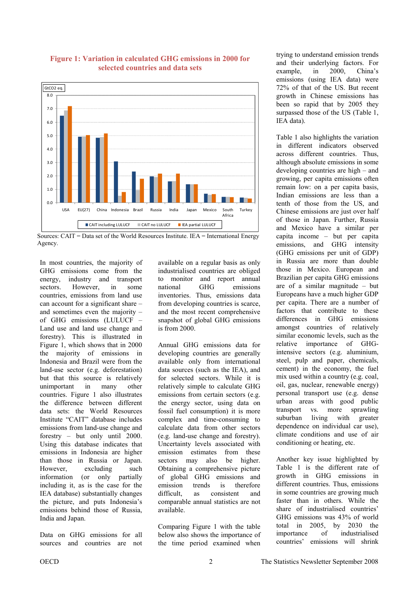

**Figure 1: Variation in calculated GHG emissions in 2000 for selected countries and data sets** 

In most countries, the majority of GHG emissions come from the energy, industry and transport sectors. However, in some countries, emissions from land use can account for a significant share – and sometimes even the majority – of GHG emissions (LULUCF – Land use and land use change and forestry). This is illustrated in Figure 1, which shows that in 2000 the majority of emissions in Indonesia and Brazil were from the land-use sector (e.g. deforestation) but that this source is relatively unimportant in many other countries. Figure 1 also illustrates the difference between different data sets: the World Resources Institute "CAIT" database includes emissions from land-use change and forestry – but only until 2000. Using this database indicates that emissions in Indonesia are higher than those in Russia or Japan. However, excluding such information (or only partially including it, as is the case for the IEA database) substantially changes the picture, and puts Indonesia's emissions behind those of Russia, India and Japan.

Data on GHG emissions for all sources and countries are not available on a regular basis as only industrialised countries are obliged to monitor and report annual national GHG emissions inventories. Thus, emissions data from developing countries is scarce, and the most recent comprehensive snapshot of global GHG emissions is from 2000.

Annual GHG emissions data for developing countries are generally available only from international data sources (such as the IEA), and for selected sectors. While it is relatively simple to calculate GHG emissions from certain sectors (e.g. the energy sector, using data on fossil fuel consumption) it is more complex and time-consuming to calculate data from other sectors (e.g. land-use change and forestry). Uncertainty levels associated with emission estimates from these sectors may also be higher. Obtaining a comprehensive picture of global GHG emissions and emission trends is therefore difficult, as consistent and comparable annual statistics are not available.

Comparing Figure 1 with the table below also shows the importance of the time period examined when

trying to understand emission trends and their underlying factors. For example, in 2000, China's emissions (using IEA data) were 72% of that of the US. But recent growth in Chinese emissions has been so rapid that by 2005 they surpassed those of the US (Table 1, IEA data).

Table 1 also highlights the variation in different indicators observed across different countries. Thus, although absolute emissions in some developing countries are high – and growing, per capita emissions often remain low: on a per capita basis, Indian emissions are less than a tenth of those from the US, and Chinese emissions are just over half of those in Japan. Further, Russia and Mexico have a similar per capita income – but per capita emissions, and GHG intensity (GHG emissions per unit of GDP) in Russia are more than double those in Mexico. European and Brazilian per capita GHG emissions are of a similar magnitude – but Europeans have a much higher GDP per capita. There are a number of factors that contribute to these differences in GHG emissions amongst countries of relatively similar economic levels, such as the relative importance of GHGintensive sectors (e.g. aluminium, steel, pulp and paper, chemicals, cement) in the economy, the fuel mix used within a country (e.g. coal, oil, gas, nuclear, renewable energy) personal transport use (e.g. dense urban areas with good public transport vs. more sprawling suburban living with greater dependence on individual car use), climate conditions and use of air conditioning or heating, etc.

Another key issue highlighted by Table 1 is the different rate of growth in GHG emissions in different countries. Thus, emissions in some countries are growing much faster than in others. While the share of industrialised countries' GHG emissions was 43% of world total in 2005, by 2030 the importance of industrialised countries' emissions will shrink

Sources: CAIT = Data set of the World Resources Institute. IEA = International Energy Agency.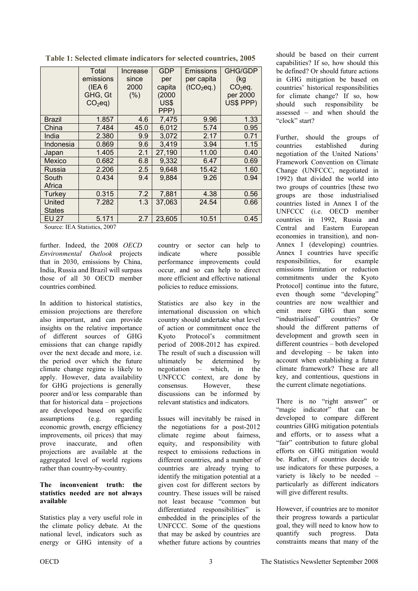|  |  | Table 1: Selected climate indicators for selected countries, 2005 |
|--|--|-------------------------------------------------------------------|
|  |  |                                                                   |

|                         | Total            | Increase | <b>GDP</b> | Emissions              | <b>GHG/GDP</b> |
|-------------------------|------------------|----------|------------|------------------------|----------------|
|                         | emissions        | since    | per        | per capita             | (kg            |
|                         | (IEA 6)          | 2000     | capita     | (tCO <sub>2</sub> eq.) | $CO2$ eq.      |
|                         | GHG, Gt          | (% )     | (2000)     |                        | per 2000       |
|                         | $CO2eq$ )        |          | US\$       |                        | US\$ PPP)      |
|                         |                  |          | PPP)       |                        |                |
| <b>Brazil</b>           | 1.857            | 4.6      | 7,475      | 9.96                   | 1.33           |
| China                   | 7.484            | 45.0     | 6,012      | 5.74                   | 0.95           |
| India                   | 2.380            | 9.9      | 3,072      | 2.17                   | 0.71           |
| Indonesia               | 0.869            | 9.6      | 3,419      | 3.94                   | 1.15           |
| Japan                   | 1.405            | 2.1      | 27,190     | 11.00                  | 0.40           |
| <b>Mexico</b>           | 0.682            | 6.8      | 9,332      | 6.47                   | 0.69           |
| Russia                  | 2.206            | 2.5      | 9,648      | 15.42                  | 1.60           |
| South                   | 0.434            | 9.4      | 9,884      | 9.26                   | 0.94           |
| Africa                  |                  |          |            |                        |                |
| Turkey                  | 0.315            | 7.2      | 7,881      | 4.38                   | 0.56           |
| United                  | 7.282            | 1.3      | 37,063     | 24.54                  | 0.66           |
| <b>States</b>           |                  |          |            |                        |                |
| <b>EU 27</b>            | 5.171            | 2.7      | 23,605     | 10.51                  | 0.45           |
| Carroll III & Caracteri | nnn <del>a</del> |          |            |                        |                |

Source: IEA Statistics, 2007

further. Indeed, the 2008 *OECD Environmental Outlook* projects that in 2030, emissions by China, India, Russia and Brazil will surpass those of all 30 OECD member countries combined.

In addition to historical statistics, emission projections are therefore also important, and can provide insights on the relative importance of different sources of GHG emissions that can change rapidly over the next decade and more, i.e. the period over which the future climate change regime is likely to apply. However, data availability for GHG projections is generally poorer and/or less comparable than that for historical data – projections are developed based on specific assumptions (e.g. regarding economic growth, energy efficiency improvements, oil prices) that may prove inaccurate, and often projections are available at the aggregated level of world regions rather than country-by-country.

#### **The inconvenient truth: the statistics needed are not always available**

Statistics play a very useful role in the climate policy debate. At the national level, indicators such as energy or GHG intensity of a country or sector can help to indicate where possible performance improvements could occur, and so can help to direct more efficient and effective national policies to reduce emissions.

Statistics are also key in the international discussion on which country should undertake what level of action or commitment once the Kyoto Protocol's commitment period of 2008-2012 has expired. The result of such a discussion will ultimately be determined by negotiation – which, in the UNFCCC context, are done by consensus. However, these discussions can be informed by relevant statistics and indicators.

Issues will inevitably be raised in the negotiations for a post-2012 climate regime about fairness, equity, and responsibility with respect to emissions reductions in different countries, and a number of countries are already trying to identify the mitigation potential at a given cost for different sectors by country. These issues will be raised not least because "common but differentiated responsibilities" is embedded in the principles of the UNFCCC. Some of the questions that may be asked by countries are whether future actions by countries should be based on their current capabilities? If so, how should this be defined? Or should future actions in GHG mitigation be based on countries' historical responsibilities for climate change? If so, how should such responsibility be assessed – and when should the "clock" start?

Further, should the groups of countries established during negotiation of the United Nations' Framework Convention on Climate Change (UNFCCC, negotiated in 1992) that divided the world into two groups of countries [these two groups are those industrialised countries listed in Annex I of the UNFCCC (i.e. OECD member countries in 1992, Russia and Central and Eastern European economies in transition), and non-Annex I (developing) countries. Annex I countries have specific responsibilities, for example emissions limitation or reduction commitments under the Kyoto Protocol] continue into the future, even though some "developing" countries are now wealthier and emit more GHG than some "industrialised" countries? Or should the different patterns of development and growth seen in different countries – both developed and developing – be taken into account when establishing a future climate framework? These are all key, and contentious, questions in the current climate negotiations.

There is no "right answer" or "magic indicator" that can be developed to compare different countries GHG mitigation potentials and efforts, or to assess what a "fair" contribution to future global efforts on GHG mitigation would be. Rather, if countries decide to use indicators for these purposes, a variety is likely to be needed – particularly as different indicators will give different results.

However, if countries are to monitor their progress towards a particular goal, they will need to know how to quantify such progress. Data constraints means that many of the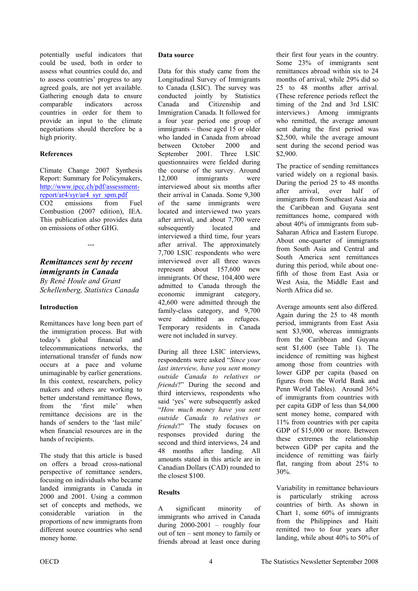<span id="page-3-0"></span>potentially useful indicators that could be used, both in order to assess what countries could do, and to assess countries' progress to any agreed goals, are not yet available. Gathering enough data to ensure comparable indicators across countries in order for them to provide an input to the climate negotiations should therefore be a high priority.

#### **References**

Climate Change 2007 Synthesis Report: Summary for Policymakers, http://www.ipcc.ch/pdf/assessmentreport/ar4/syr/ar4\_syr\_spm.pdf CO2 emissions from Fuel Combustion (2007 edition), IEA. This publication also provides data on emissions of other GHG.

---

#### *Remittances sent by recent immigrants in Canada By René Houle and Grant Schellenberg, Statistics Canada*

#### **Introduction**

Remittances have long been part of the immigration process. But with today's global financial and telecommunications networks, the international transfer of funds now occurs at a pace and volume unimaginable by earlier generations. In this context, researchers, policy makers and others are working to better understand remittance flows, from the 'first mile' when remittance decisions are in the hands of senders to the 'last mile' when financial resources are in the hands of recipients.

The study that this article is based on offers a broad cross-national perspective of remittance senders, focusing on individuals who became landed immigrants in Canada in 2000 and 2001. Using a common set of concepts and methods, we considerable variation in the proportions of new immigrants from different source countries who send money home.

#### **Data source**

Data for this study came from the Longitudinal Survey of Immigrants to Canada (LSIC). The survey was conducted jointly by Statistics Canada and Citizenship and Immigration Canada. It followed for a four year period one group of immigrants – those aged 15 or older who landed in Canada from abroad between October 2000 and September 2001. Three LSIC questionnaires were fielded during the course of the survey. Around 12,000 immigrants were interviewed about six months after their arrival in Canada. Some 9,300 of the same immigrants were located and interviewed two years after arrival, and about 7,700 were subsequently located and interviewed a third time, four years after arrival. The approximately 7,700 LSIC respondents who were interviewed over all three waves represent about 157,600 new immigrants. Of these, 104,400 were admitted to Canada through the economic immigrant category, 42,600 were admitted through the family-class category, and 9,700 were admitted as refugees. Temporary residents in Canada were not included in survey.

During all three LSIC interviews, respondents were asked "*Since your last interview, have you sent money outside Canada to relatives or friends*?" During the second and third interviews, respondents who said 'yes' were subsequently asked "*How much money have you sent outside Canada to relatives or friends*?" The study focuses on responses provided during the second and third interviews, 24 and 48 months after landing. All amounts stated in this article are in Canadian Dollars (CAD) rounded to the closest \$100.

#### **Results**

A significant minority of immigrants who arrived in Canada during 2000-2001 – roughly four out of ten – sent money to family or friends abroad at least once during

their first four years in the country. Some 23% of immigrants sent remittances abroad within six to 24 months of arrival, while 29% did so 25 to 48 months after arrival. (These reference periods reflect the timing of the 2nd and 3rd LSIC interviews.) Among immigrants who remitted, the average amount sent during the first period was \$2,500, while the average amount sent during the second period was \$2,900.

The practice of sending remittances varied widely on a regional basis. During the period 25 to 48 months after arrival, over half of immigrants from Southeast Asia and the Caribbean and Guyana sent remittances home, compared with about 40% of immigrants from sub-Saharan Africa and Eastern Europe. About one-quarter of immigrants from South Asia and Central and South America sent remittances during this period, while about onefifth of those from East Asia or West Asia, the Middle East and North Africa did so.

Average amounts sent also differed. Again during the 25 to 48 month period, immigrants from East Asia sent \$3,900, whereas immigrants from the Caribbean and Guyana sent \$1,600 (see Table 1). The incidence of remitting was highest among those from countries with lower GDP per capita (based on figures from the World Bank and Penn World Tables). Around 36% of immigrants from countries with per capita GDP of less than \$4,000 sent money home, compared with 11% from countries with per capita GDP of \$15,000 or more. Between these extremes the relationship between GDP per capita and the incidence of remitting was fairly flat, ranging from about 25% to 30%.

Variability in remittance behaviours is particularly striking across countries of birth. As shown in Chart 1, some 60% of immigrants from the Philippines and Haiti remitted two to four years after landing, while about 40% to 50% of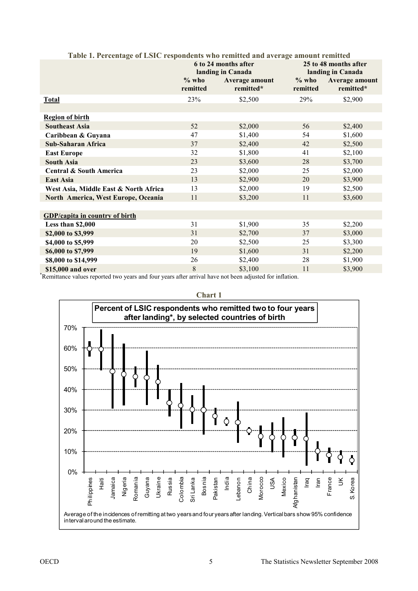|                                       |                     | 6 to 24 months after<br>landing in Canada | Table 1. Percentage of LSIC respondents who remitted and average amount remitted<br>25 to 48 months after<br>landing in Canada |                             |
|---------------------------------------|---------------------|-------------------------------------------|--------------------------------------------------------------------------------------------------------------------------------|-----------------------------|
|                                       | $%$ who<br>remitted | Average amount<br>remitted*               | $\%$ who<br>remitted                                                                                                           | Average amount<br>remitted* |
| <b>Total</b>                          | 23%                 | \$2,500                                   | 29%                                                                                                                            | \$2,900                     |
|                                       |                     |                                           |                                                                                                                                |                             |
| <b>Region of birth</b>                |                     |                                           |                                                                                                                                |                             |
| <b>Southeast Asia</b>                 | 52                  | \$2,000                                   | 56                                                                                                                             | \$2,400                     |
| Caribbean & Guyana                    | 47                  | \$1,400                                   | 54                                                                                                                             | \$1,600                     |
| Sub-Saharan Africa                    | 37                  | \$2,400                                   | 42                                                                                                                             | \$2,500                     |
| <b>East Europe</b>                    | 32                  | \$1,800                                   | 41                                                                                                                             | \$2,100                     |
| <b>South Asia</b>                     | 23                  | \$3,600                                   | 28                                                                                                                             | \$3,700                     |
| <b>Central &amp; South America</b>    | 23                  | \$2,000                                   | 25                                                                                                                             | \$2,000                     |
| <b>East Asia</b>                      | 13                  | \$2,900                                   | 20                                                                                                                             | \$3,900                     |
| West Asia, Middle East & North Africa | 13                  | \$2,000                                   | 19                                                                                                                             | \$2,500                     |
| North America, West Europe, Oceania   | 11                  | \$3,200                                   | 11                                                                                                                             | \$3,600                     |
|                                       |                     |                                           |                                                                                                                                |                             |
| <b>GDP/capita in country of birth</b> |                     |                                           |                                                                                                                                |                             |
| Less than \$2,000                     | 31                  | \$1,900                                   | 35                                                                                                                             | \$2,200                     |
| \$2,000 to \$3,999                    | 31                  | \$2,700                                   | 37                                                                                                                             | \$3,000                     |
| \$4,000 to \$5,999                    | 20                  | \$2,500                                   | 25                                                                                                                             | \$3,300                     |
| \$6,000 to \$7,999                    | 19                  | \$1,600                                   | 31                                                                                                                             | \$2,200                     |
| \$8,000 to \$14,999                   | 26                  | \$2,400                                   | 28                                                                                                                             | \$1,900                     |
| \$15,000 and over                     | 8                   | \$3 100                                   | 11                                                                                                                             | \$3 900                     |

### **Table 1. Percentage of LSIC respondents who remitted and average amount remitted**

**815,000 and over 8 815,000 and over 8 83,100** 11 **83,900 <sup>8</sup>Remittance values reported two years and four years after arrival have not been adjusted for inflation.** 



**Chart 1**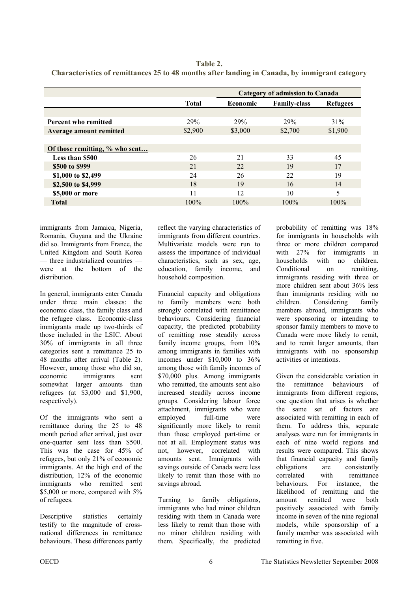| Table 2.                                                                                      |
|-----------------------------------------------------------------------------------------------|
| Characteristics of remittances 25 to 48 months after landing in Canada, by immigrant category |

|                                |              | <b>Category of admission to Canada</b> |                     |                 |
|--------------------------------|--------------|----------------------------------------|---------------------|-----------------|
|                                | <b>Total</b> | <b>Economic</b>                        | <b>Family-class</b> | <b>Refugees</b> |
|                                |              |                                        |                     |                 |
| <b>Percent who remitted</b>    | 29%          | 29%                                    | 29%                 | 31%             |
| Average amount remitted        | \$2,900      | \$3,000                                | \$2,700             | \$1,900         |
|                                |              |                                        |                     |                 |
| Of those remitting, % who sent |              |                                        |                     |                 |
| <b>Less than \$500</b>         | 26           | 21                                     | 33                  | 45              |
| \$500 to \$999                 | 21           | 22                                     | 19                  | 17              |
| \$1,000 to \$2,499             | 24           | 26                                     | 22                  | 19              |
| \$2,500 to \$4,999             | 18           | 19                                     | 16                  | 14              |
| \$5,000 or more                | 11           | 12                                     | 10                  | 5               |
| <b>Total</b>                   | 100%         | 100%                                   | $100\%$             | $100\%$         |

immigrants from Jamaica, Nigeria, Romania, Guyana and the Ukraine did so. Immigrants from France, the United Kingdom and South Korea — three industrialized countries were at the bottom of the distribution.

In general, immigrants enter Canada under three main classes: the economic class, the family class and the refugee class. Economic-class immigrants made up two-thirds of those included in the LSIC. About 30% of immigrants in all three categories sent a remittance 25 to 48 months after arrival (Table 2). However, among those who did so, economic immigrants sent somewhat larger amounts than refugees (at \$3,000 and \$1,900, respectively).

Of the immigrants who sent a remittance during the 25 to 48 month period after arrival, just over one-quarter sent less than \$500. This was the case for 45% of refugees, but only 21% of economic immigrants. At the high end of the distribution, 12% of the economic immigrants who remitted sent \$5,000 or more, compared with 5% of refugees.

Descriptive statistics certainly testify to the magnitude of crossnational differences in remittance behaviours. These differences partly reflect the varying characteristics of immigrants from different countries. Multivariate models were run to assess the importance of individual characteristics, such as sex, age, education, family income, and household composition.

Financial capacity and obligations to family members were both strongly correlated with remittance behaviours. Considering financial capacity, the predicted probability of remitting rose steadily across family income groups, from  $10\%$ among immigrants in families with incomes under \$10,000 to 36% among those with family incomes of \$70,000 plus. Among immigrants who remitted, the amounts sent also increased steadily across income groups. Considering labour force attachment, immigrants who were employed full-time were significantly more likely to remit than those employed part-time or not at all. Employment status was not, however, correlated with amounts sent. Immigrants with savings outside of Canada were less likely to remit than those with no savings abroad.

Turning to family obligations, immigrants who had minor children residing with them in Canada were less likely to remit than those with no minor children residing with them. Specifically, the predicted probability of remitting was 18% for immigrants in households with three or more children compared with 27% for immigrants in households with no children. Conditional on remitting, immigrants residing with three or more children sent about 36% less than immigrants residing with no children. Considering family members abroad, immigrants who were sponsoring or intending to sponsor family members to move to Canada were more likely to remit, and to remit larger amounts, than immigrants with no sponsorship activities or intentions.

Given the considerable variation in the remittance behaviours of immigrants from different regions, one question that arises is whether the same set of factors are associated with remitting in each of them. To address this, separate analyses were run for immigrants in each of nine world regions and results were compared. This shows that financial capacity and family obligations are consistently correlated with remittance behaviours. For instance, the likelihood of remitting and the amount remitted were both positively associated with family income in seven of the nine regional models, while sponsorship of a family member was associated with remitting in five.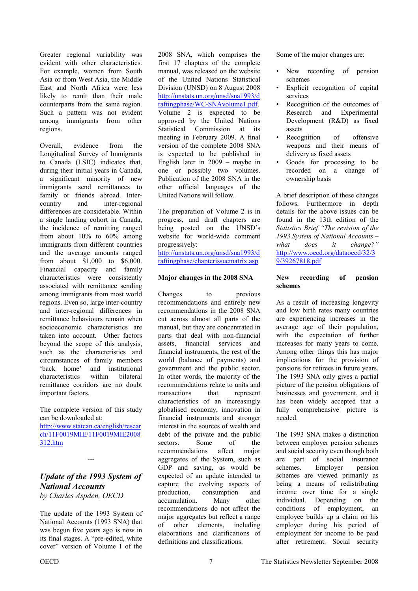<span id="page-6-0"></span>Greater regional variability was evident with other characteristics. For example, women from South Asia or from West Asia, the Middle East and North Africa were less likely to remit than their male counterparts from the same region. Such a pattern was not evident among immigrants from other regions.

Overall, evidence from the Longitudinal Survey of Immigrants to Canada (LSIC) indicates that, during their initial years in Canada, a significant minority of new immigrants send remittances to family or friends abroad. Intercountry and inter-regional differences are considerable. Within a single landing cohort in Canada, the incidence of remitting ranged from about 10% to 60% among immigrants from different countries and the average amounts ranged from about \$1,000 to \$6,000. Financial capacity and family characteristics were consistently associated with remittance sending among immigrants from most world regions. Even so, large inter-country and inter-regional differences in remittance behaviours remain when socioeconomic characteristics are taken into account. Other factors beyond the scope of this analysis, such as the characteristics and circumstances of family members 'back home' and institutional characteristics within bilateral remittance corridors are no doubt important factors.

The complete version of this study can be downloaded at: [http://www.statcan.ca/english/resear](http://www.statcan.ca/english/research/11F0019MIE/11F0019MIE2008312.htm) ch/11F0019MIE/11F0019MIE2008 312.htm

*Update of the 1993 System of National Accounts* 

---

*by Charles Aspden, OECD* 

The update of the 1993 System of National Accounts (1993 SNA) that was begun five years ago is now in its final stages. A "pre-edited, white cover" version of Volume 1 of the

2008 SNA, which comprises the first 17 chapters of the complete manual, was released on the website of the United Nations Statistical Division (UNSD) on 8 August 2008 http://unstats.un.org/unsd/sna1993/d [raftingphase/WC-SNAvolume1.pdf.](http://unstats.un.org/unsd/sna1993/draftingphase/WC-SNAvolume1.pdf)  Volume 2 is expected to be approved by the United Nations Statistical Commission at its meeting in February 2009. A final version of the complete 2008 SNA is expected to be published in English later in 2009 – maybe in one or possibly two volumes. Publication of the 2008 SNA in the other official languages of the United Nations will follow.

The preparation of Volume 2 is in progress, and draft chapters are being posted on the UNSD's website for world-wide comment progressively:

[http://unstats.un.org/unsd/sna1993/d](http://unstats.un.org/unsd/sna1993/draftingphase/chapterissuematrix.asp) raftingphase/chapterissuematrix.asp

### **Major changes in the 2008 SNA**

Changes to previous recommendations and entirely new recommendations in the 2008 SNA cut across almost all parts of the manual, but they are concentrated in parts that deal with non-financial assets, financial services and financial instruments, the rest of the world (balance of payments) and government and the public sector. In other words, the majority of the recommendations relate to units and transactions that represent characteristics of an increasingly globalised economy, innovation in financial instruments and stronger interest in the sources of wealth and debt of the private and the public sectors. Some of the recommendations affect major aggregates of the System, such as GDP and saving, as would be expected of an update intended to capture the evolving aspects of production, consumption and accumulation. Many other recommendations do not affect the major aggregates but reflect a range of other elements, including elaborations and clarifications of definitions and classifications.

Some of the major changes are:

- New recording of pension schemes
- Explicit recognition of capital services
- Recognition of the outcomes of Research and Experimental Development (R&D) as fixed assets
- Recognition of offensive weapons and their means of delivery as fixed assets
- Goods for processing to be recorded on a change of ownership basis

A brief description of these changes follows. Furthermore in depth details for the above issues can be found in the 13th edition of the *Statistics Brief "The revision of the 1993 System of National Accounts – what does it change?"*  [http://www.oecd.org/dataoecd/32/3](http://www.oecd.org/dataoecd/32/39/39267818.pdf) 9/39267818.pdf

#### **New recording of pension schemes**

As a result of increasing longevity and low birth rates many countries are experiencing increases in the average age of their population, with the expectation of further increases for many years to come. Among other things this has major implications for the provision of pensions for retirees in future years. The 1993 SNA only gives a partial picture of the pension obligations of businesses and government, and it has been widely accepted that a fully comprehensive picture is needed.

The 1993 SNA makes a distinction between employer pension schemes and social security even though both are part of social insurance schemes. Employer pension schemes are viewed primarily as being a means of redistributing income over time for a single individual. Depending on the conditions of employment, an employee builds up a claim on his employer during his period of employment for income to be paid after retirement. Social security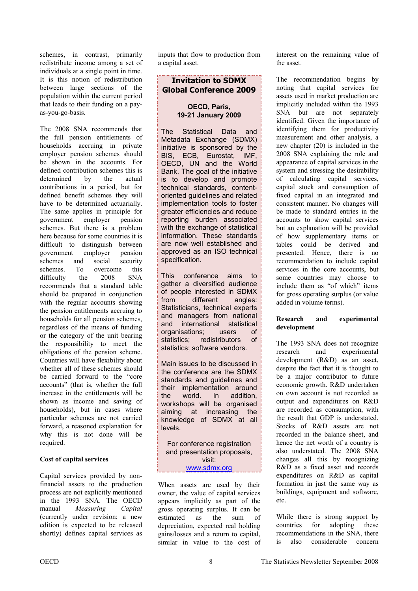schemes, in contrast, primarily redistribute income among a set of individuals at a single point in time. It is this notion of redistribution between large sections of the population within the current period that leads to their funding on a payas-you-go-basis.

The 2008 SNA recommends that the full pension entitlements of households accruing in private employer pension schemes should be shown in the accounts. For defined contribution schemes this is determined by the actual contributions in a period, but for defined benefit schemes they will have to be determined actuarially. The same applies in principle for government employer pension schemes. But there is a problem here because for some countries it is difficult to distinguish between government employer pension schemes and social security schemes. To overcome this difficulty the 2008 SNA recommends that a standard table should be prepared in conjunction with the regular accounts showing the pension entitlements accruing to households for all pension schemes, regardless of the means of funding or the category of the unit bearing the responsibility to meet the obligations of the pension scheme. Countries will have flexibility about whether all of these schemes should be carried forward to the "core accounts" (that is, whether the full increase in the entitlements will be shown as income and saving of households), but in cases where particular schemes are not carried forward, a reasoned explanation for why this is not done will be required.

#### **Cost of capital services**

Capital services provided by nonfinancial assets to the production process are not explicitly mentioned in the 1993 SNA. The OECD manual *Measuring Capital* (currently under revision; a new edition is expected to be released shortly) defines capital services as

inputs that flow to production from a capital asset.

# **Invitation to SDMX Global Conference 2009**

#### **OECD, Paris, 19-21 January 2009**

The Statistical Data and Metadata Exchange (SDMX) initiative is sponsored by the BIS, ECB, Eurostat, IMF, OECD, UN and the World Bank. The goal of the initiative is to develop and promote technical standards, contentoriented guidelines and related implementation tools to foster greater efficiencies and reduce reporting burden associated with the exchange of statistical information. These standards are now well established and approved as an ISO technical specification.

This conference aims to gather a diversified audience of people interested in SDMX from different angles: Statisticians, technical experts and managers from national and international statistical organisations; users of<br>statistics: redistributors of statistics; redistributors statistics; software vendors.

Main issues to be discussed in the conference are the SDMX standards and guidelines and their implementation around the world. In addition, workshops will be organised aiming at increasing the knowledge of SDMX at all levels.

For conference registration and presentation proposals, visit: <u>www.sdmx.org</u>\_\_\_\_\_\_\_\_\_\_\_\_\_

When assets are used by their owner, the value of capital services appears implicitly as part of the gross operating surplus. It can be estimated as the sum of depreciation, expected real holding gains/losses and a return to capital, similar in value to the cost of interest on the remaining value of the asset.

The recommendation begins by noting that capital services for assets used in market production are implicitly included within the 1993 SNA but are not separately identified. Given the importance of identifying them for productivity measurement and other analysis, a new chapter (20) is included in the 2008 SNA explaining the role and appearance of capital services in the system and stressing the desirability of calculating capital services, capital stock and consumption of fixed capital in an integrated and consistent manner. No changes will be made to standard entries in the accounts to show capital services but an explanation will be provided of how supplementary items or tables could be derived and presented. Hence, there is no recommendation to include capital services in the core accounts, but some countries may choose to include them as "of which" items for gross operating surplus (or value added in volume terms).

#### **Research and experimental development**

The 1993 SNA does not recognize research and experimental development (R&D) as an asset, despite the fact that it is thought to be a major contributor to future economic growth. R&D undertaken on own account is not recorded as output and expenditures on R&D are recorded as consumption, with the result that GDP is understated. Stocks of R&D assets are not recorded in the balance sheet, and hence the net worth of a country is also understated. The 2008 SNA changes all this by recognizing R&D as a fixed asset and records expenditures on R&D as capital formation in just the same way as buildings, equipment and software, etc.

While there is strong support by countries for adopting these recommendations in the SNA, there is also considerable concern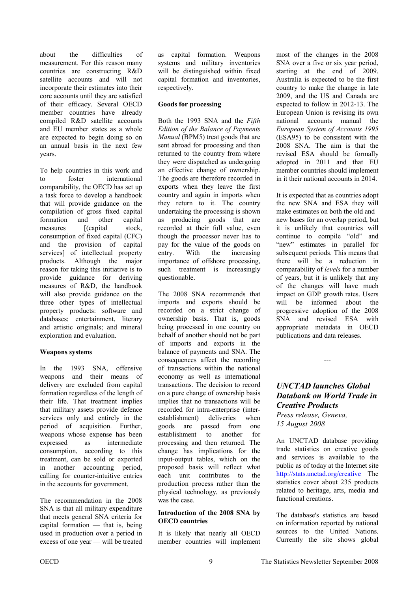<span id="page-8-0"></span>about the difficulties of measurement. For this reason many countries are constructing R&D satellite accounts and will not incorporate their estimates into their core accounts until they are satisfied of their efficacy. Several OECD member countries have already compiled R&D satellite accounts and EU member states as a whole are expected to begin doing so on an annual basis in the next few years.

To help countries in this work and to foster international comparability, the OECD has set up a task force to develop a handbook that will provide guidance on the compilation of gross fixed capital formation and other capital measures [(capital stock, consumption of fixed capital (CFC) and the provision of capital services] of intellectual property products. Although the major reason for taking this initiative is to provide guidance for deriving measures of R&D, the handbook will also provide guidance on the three other types of intellectual property products: software and databases; entertainment, literary and artistic originals; and mineral exploration and evaluation.

#### **Weapons systems**

In the 1993 SNA, offensive weapons and their means of delivery are excluded from capital formation regardless of the length of their life. That treatment implies that military assets provide defence services only and entirely in the period of acquisition. Further, weapons whose expense has been expressed as intermediate consumption, according to this treatment, can be sold or exported in another accounting period, calling for counter-intuitive entries in the accounts for government.

The recommendation in the 2008 SNA is that all military expenditure that meets general SNA criteria for capital formation — that is, being used in production over a period in excess of one year — will be treated

as capital formation. Weapons systems and military inventories will be distinguished within fixed capital formation and inventories, respectively.

#### **Goods for processing**

Both the 1993 SNA and the *Fifth Edition of the Balance of Payments Manual* (BPM5) treat goods that are sent abroad for processing and then returned to the country from where they were dispatched as undergoing an effective change of ownership. The goods are therefore recorded in exports when they leave the first country and again in imports when they return to it. The country undertaking the processing is shown as producing goods that are recorded at their full value, even though the processor never has to pay for the value of the goods on entry. With the increasing importance of offshore processing, such treatment is increasingly questionable.

The 2008 SNA recommends that imports and exports should be recorded on a strict change of ownership basis. That is, goods being processed in one country on behalf of another should not be part of imports and exports in the balance of payments and SNA. The consequences affect the recording of transactions within the national economy as well as international transactions. The decision to record on a pure change of ownership basis implies that no transactions will be recorded for intra-enterprise (interestablishment) deliveries when goods are passed from one establishment to another for processing and then returned. The change has implications for the input-output tables, which on the proposed basis will reflect what each unit contributes to the production process rather than the physical technology, as previously was the case.

#### **Introduction of the 2008 SNA by OECD countries**

It is likely that nearly all OECD member countries will implement most of the changes in the 2008 SNA over a five or six year period, starting at the end of 2009. Australia is expected to be the first country to make the change in late 2009, and the US and Canada are expected to follow in 2012-13. The European Union is revising its own national accounts manual the *European System of Accounts 1995* (ESA95) to be consistent with the 2008 SNA. The aim is that the revised ESA should be formally adopted in 2011 and that EU member countries should implement in it their national accounts in 2014.

It is expected that as countries adopt the new SNA and ESA they will make estimates on both the old and new bases for an overlap period, but it is unlikely that countries will continue to compile "old" and "new" estimates in parallel for subsequent periods. This means that there will be a reduction in comparability of *levels* for a number of years, but it is unlikely that any of the changes will have much impact on GDP growth rates. Users will be informed about the progressive adoption of the 2008 SNA and revised ESA with appropriate metadata in OECD publications and data releases.

# *UNCTAD launches Global Databank on World Trade in Creative Products*

---

*Press release, Geneva, 15 August 2008* 

An UNCTAD database providing trade statistics on creative goods and services is available to the public as of today at the Internet site http://stats.unctad.org/creative The statistics cover about 235 products related to heritage, arts, media and functional creations.

The database's statistics are based on information reported by national sources to the United Nations. Currently the site shows global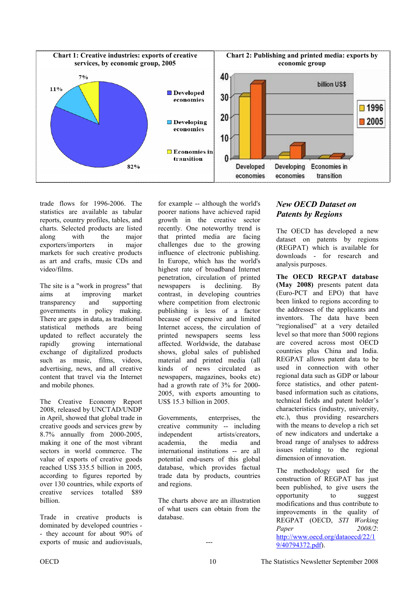

trade flows for 1996-2006. The statistics are available as tabular reports, country profiles, tables, and charts. Selected products are listed along with the major exporters/importers in major markets for such creative products as art and crafts, music CDs and video/films.

The site is a "work in progress" that aims at improving market transparency and supporting governments in policy making. There are gaps in data, as traditional statistical methods are being updated to reflect accurately the rapidly growing international exchange of digitalized products such as music, films, videos, advertising, news, and all creative content that travel via the Internet and mobile phones.

The Creative Economy Report 2008, released by UNCTAD/UNDP in April, showed that global trade in creative goods and services grew by 8.7% annually from 2000-2005, making it one of the most vibrant sectors in world commerce. The value of exports of creative goods reached US\$ 335.5 billion in 2005, according to figures reported by over 130 countries, while exports of creative services totalled \$89 billion.

Trade in creative products is dominated by developed countries - - they account for about 90% of exports of music and audiovisuals,

for example -- although the world's poorer nations have achieved rapid growth in the creative sector recently. One noteworthy trend is that printed media are facing challenges due to the growing influence of electronic publishing. In Europe, which has the world's highest rate of broadband Internet penetration, circulation of printed newspapers is declining. By contrast, in developing countries where competition from electronic publishing is less of a factor because of expensive and limited Internet access, the circulation of printed newspapers seems less affected. Worldwide, the database shows, global sales of published material and printed media (all kinds of news circulated as newspapers, magazines, books etc) had a growth rate of 3% for 2000- 2005, with exports amounting to US\$ 15.3 billion in 2005.

Governments, enterprises, the creative community -- including independent artists/creators, academia, the media and international institutions -- are all potential end-users of this global database, which provides factual trade data by products, countries and regions.

The charts above are an illustration of what users can obtain from the database.

---

# *New OECD Dataset on Patents by Regions*

The OECD has developed a new dataset on patents by regions (REGPAT) which is available for downloads - for research and analysis purposes.

**The OECD REGPAT database (May 2008)** presents patent data (Euro-PCT and EPO) that have been linked to regions according to the addresses of the applicants and inventors. The data have been "regionalised" at a very detailed level so that more than 5000 regions are covered across most OECD countries plus China and India. REGPAT allows patent data to be used in connection with other regional data such as GDP or labour force statistics, and other patentbased information such as citations, technical fields and patent holder's characteristics (industry, university, etc.), thus providing researchers with the means to develop a rich set of new indicators and undertake a broad range of analyses to address issues relating to the regional dimension of innovation.

The methodology used for the construction of REGPAT has just been published, to give users the opportunity to suggest modifications and thus contribute to improvements in the quality of REGPAT (OECD, *STI Working Paper 2008/2*: [http://www.oecd.org/dataoecd/22/1](http://www.oecd.org/dataoecd/22/19/40794372.pdf) 9/40794372.pdf).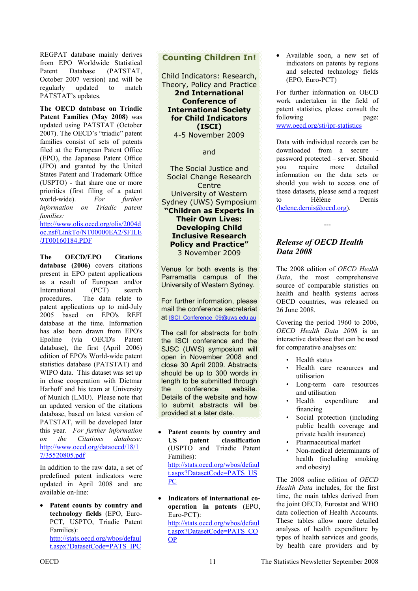<span id="page-10-0"></span>REGPAT database mainly derives from EPO Worldwide Statistical Patent Database (PATSTAT, October 2007 version) and will be regularly updated to match PATSTAT's updates.

**The OECD database on Triadic Patent Families (May 2008)** was updated using PATSTAT (October 2007). The OECD's "triadic" patent families consist of sets of patents filed at the European Patent Office (EPO), the Japanese Patent Office (JPO) and granted by the United States Patent and Trademark Office (USPTO) - that share one or more priorities (first filing of a patent world-wide). *For further information on Triadic patent families:*

http://www.olis.oecd.org/olis/2004d [oc.nsf/LinkTo/NT00000EA2/\\$FILE](http://www.olis.oecd.org/olis/2004doc.nsf/LinkTo/NT00000EA2/$FILE/JT00160184.PDF) /JT00160184.PDF

**The OECD/EPO Citations database (2006)** covers citations present in EPO patent applications as a result of European and/or International (PCT) search procedures. The data relate to patent applications up to mid-July 2005 based on EPO's REFI database at the time. Information has also been drawn from EPO's Epoline (via OECD's Patent database), the first (April 2006) edition of EPO's World-wide patent statistics database (PATSTAT) and WIPO data. This dataset was set up in close cooperation with Dietmar Harhoff and his team at University of Munich (LMU). Please note that an updated version of the citations database, based on latest version of PATSTAT, will be developed later this year. *For further information on the Citations database:* [http://www.oecd.org/dataoecd/18/1](http://www.oecd.org/dataoecd/18/17/35520805.pdf) 7/35520805.pdf

In addition to the raw data, a set of predefined patent indicators were updated in April 2008 and are available on-line:

• **Patent counts by country and technology fields** (EPO, Euro-PCT, USPTO, Triadic Patent Families): [http://stats.oecd.org/wbos/defaul](http://stats.oecd.org/wbos/default.aspx?DatasetCode=PATS_IPC) t.aspx?DatasetCode=PATS\_IPC

# **Counting Children In!**

Child Indicators: Research, Theory, Policy and Practice **2nd International Conference of International Society for Child Indicators (ISCI)**  4-5 November 2009

#### and

The Social Justice and Social Change Research **Centre** University of Western Sydney (UWS) Symposium **"Children as Experts in Their Own Lives: Developing Child Inclusive Research Policy and Practice"**  3 November 2009

Venue for both events is the Parramatta campus of the University of Western Sydney.

For further information, please mail the conference secretariat at ISCI Conference 09@uws.edu.au

The call for abstracts for both the ISCI conference and the SJSC (UWS) symposium will open in November 2008 and close 30 April 2009. Abstracts should be up to 300 words in length to be submitted through the conference website. Details of the website and how to submit abstracts will be provided at a later date.

- **Patent counts by country and US patent classification** (USPTO and Triadic Patent Families): [http://stats.oecd.org/wbos/defaul](http://stats.oecd.org/wbos/default.aspx?DatasetCode=PATS_USPC) t.aspx?DatasetCode=PATS\_US PC
- **Indicators of international cooperation in patents** (EPO, Euro-PCT): http://stats.oecd.org/wbos/defaul [t.aspx?DatasetCode=PATS\\_CO](http://stats.oecd.org/wbos/default.aspx?DatasetCode=PATS_COOP) OP

• Available soon, a new set of indicators on patents by regions and selected technology fields (EPO, Euro-PCT)

For further information on OECD work undertaken in the field of patent statistics, please consult the following page: www.oecd.org/sti/ipr-statistics

Data with individual records can be downloaded from a secure password protected – server. Should you require more detailed information on the data sets or should you wish to access one of these datasets, please send a request to Hélène Dernis (helene.dernis@oecd.org).

# *Release of OECD Health Data 2008*

---

The 2008 edition of *OECD Health Data*, the most comprehensive source of comparable statistics on health and health systems across OECD countries, was released on 26 June 2008.

Covering the period 1960 to 2006, *OECD Health Data 2008* is an interactive database that can be used for comparative analyses on:

- Health status
- Health care resources and utilisation
- Long-term care resources and utilisation
- Health expenditure and financing
- Social protection (including public health coverage and private health insurance)
- Pharmaceutical market
- Non-medical determinants of health (including smoking and obesity)

The 2008 online edition of *OECD Health Data* includes, for the first time, the main tables derived from the joint OECD, Eurostat and WHO data collection of Health Accounts. These tables allow more detailed analyses of health expenditure by types of health services and goods, by health care providers and by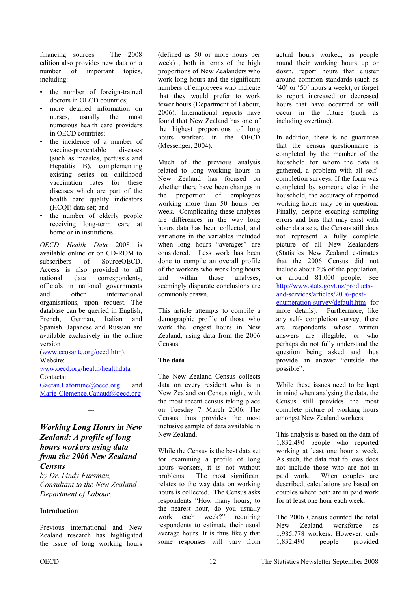<span id="page-11-0"></span>financing sources. The 2008 edition also provides new data on a number of important topics, including:

- the number of foreign-trained doctors in OECD countries;
- more detailed information on nurses, usually the most numerous health care providers in OECD countries;
- the incidence of a number of vaccine-preventable diseases (such as measles, pertussis and Hepatitis B), complementing existing series on childhood vaccination rates for these diseases which are part of the health care quality indicators (HCQI) data set; and
- the number of elderly people receiving long-term care at home or in institutions.

*OECD Health Data* 2008 is available online or on CD-ROM to subscribers of SourceOECD. Access is also provided to all national data correspondents, officials in national governments and other international organisations, upon request. The database can be queried in English, French, German, Italian and Spanish. Japanese and Russian are available exclusively in the online version

(www.ecosante.org/oecd.htm). Website: www.oecd.org/health/healthdata Contacts: Gaetan.Lafortune@oecd.org and

Marie-Clémence.Canaud@oecd.org

---

# *Working Long Hours in New Zealand: A profile of long hours workers using data from the 2006 New Zealand Census*

*by Dr. Lindy Fursman, Consultant to the New Zealand Department of Labour.* 

#### **Introduction**

Previous international and New Zealand research has highlighted the issue of long working hours

(defined as 50 or more hours per week) , both in terms of the high proportions of New Zealanders who work long hours and the significant numbers of employees who indicate that they would prefer to work fewer hours (Department of Labour, 2006). International reports have found that New Zealand has one of the highest proportions of long hours workers in the OECD (Messenger, 2004).

Much of the previous analysis related to long working hours in New Zealand has focused on whether there have been changes in the proportion of employees working more than 50 hours per week. Complicating these analyses are differences in the way long hours data has been collected, and variations in the variables included when long hours "averages" are considered. Less work has been done to compile an overall profile of the workers who work long hours and within those analyses, seemingly disparate conclusions are commonly drawn.

This article attempts to compile a demographic profile of those who work the longest hours in New Zealand, using data from the 2006 Census.

#### **The data**

The New Zealand Census collects data on every resident who is in New Zealand on Census night, with the most recent census taking place on Tuesday 7 March 2006. The Census thus provides the most inclusive sample of data available in New Zealand.

While the Census is the best data set for examining a profile of long hours workers, it is not without problems. The most significant relates to the way data on working hours is collected. The Census asks respondents "How many hours, to the nearest hour, do you usually work each week?" requiring respondents to estimate their usual average hours. It is thus likely that some responses will vary from

actual hours worked, as people round their working hours up or down, report hours that cluster around common standards (such as '40' or '50' hours a week), or forget to report increased or decreased hours that have occurred or will occur in the future (such as including overtime).

In addition, there is no guarantee that the census questionnaire is completed by the member of the household for whom the data is gathered, a problem with all selfcompletion surveys. If the form was completed by someone else in the household, the accuracy of reported working hours may be in question. Finally, despite escaping sampling errors and bias that may exist with other data sets, the Census still does not represent a fully complete picture of all New Zealanders (Statistics New Zealand estimates that the 2006 Census did not include about 2% of the population, or around 81,000 people. See http://www.stats.govt.nz/productsand-services/articles/2006-post[enumeration-survey/default.htm for](http://www.stats.govt.nz/products-and-services/articles/2006-post-enumeration-survey/default.htm) more details). Furthermore, like any self- completion survey, there

are respondents whose written answers are illegible, or who perhaps do not fully understand the question being asked and thus provide an answer "outside the possible".

While these issues need to be kept in mind when analysing the data, the Census still provides the most complete picture of working hours amongst New Zealand workers.

This analysis is based on the data of 1,832,490 people who reported working at least one hour a week. As such, the data that follows does not include those who are not in paid work. When couples are described, calculations are based on couples where both are in paid work for at least one hour each week.

The 2006 Census counted the total New Zealand workforce as 1,985,778 workers. However, only 1,832,490 people provided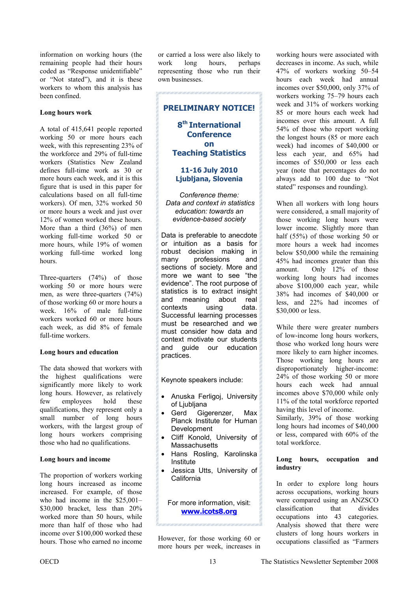information on working hours (the remaining people had their hours coded as "Response unidentifiable" or "Not stated"), and it is these workers to whom this analysis has been confined.

#### **Long hours work**

A total of 415,641 people reported working 50 or more hours each week, with this representing 23% of the workforce and 29% of full-time workers (Statistics New Zealand defines full-time work as 30 or more hours each week, and it is this figure that is used in this paper for calculations based on all full-time workers). Of men, 32% worked 50 or more hours a week and just over 12% of women worked these hours. More than a third (36%) of men working full-time worked 50 or more hours, while 19% of women working full-time worked long hours.

Three-quarters (74%) of those working 50 or more hours were men, as were three-quarters (74%) of those working 60 or more hours a week. 16% of male full-time workers worked 60 or more hours each week, as did 8% of female full-time workers.

#### **Long hours and education**

The data showed that workers with the highest qualifications were significantly more likely to work long hours. However, as relatively few employees hold these qualifications, they represent only a small number of long hours workers, with the largest group of long hours workers comprising those who had no qualifications.

#### **Long hours and income**

The proportion of workers working long hours increased as income increased. For example, of those who had income in the \$25,001– \$30,000 bracket, less than 20% worked more than 50 hours, while more than half of those who had income over \$100,000 worked these hours. Those who earned no income or carried a loss were also likely to work long hours, perhaps representing those who run their own businesses.



Keynote speakers include:

- Anuska Ferligoj, University of Ljubljana
- Gerd Gigerenzer, Max Planck Institute for Human Development
- Cliff Konold, University of **Massachusetts**
- Hans Rosling, Karolinska Institute
- Jessica Utts, University of California

For more information, visit: **www.icots8.org** 

However, for those working 60 or more hours per week, increases in

working hours were associated with decreases in income. As such, while 47% of workers working 50–54 hours each week had annual incomes over \$50,000, only 37% of workers working 75–79 hours each week and 31% of workers working 85 or more hours each week had incomes over this amount. A full 54% of those who report working the longest hours (85 or more each week) had incomes of \$40,000 or less each year, and 65% had incomes of \$50,000 or less each year (note that percentages do not always add to 100 due to "Not stated" responses and rounding).

When all workers with long hours were considered, a small majority of those working long hours were lower income. Slightly more than half (55%) of those working 50 or more hours a week had incomes below \$50,000 while the remaining 45% had incomes greater than this amount. Only 12% of those working long hours had incomes above \$100,000 each year, while 38% had incomes of \$40,000 or less, and 22% had incomes of \$30,000 or less.

While there were greater numbers of low-income long hours workers, those who worked long hours were more likely to earn higher incomes. Those working long hours are disproportionately higher-income: 24% of those working 50 or more hours each week had annual incomes above \$70,000 while only 11% of the total workforce reported having this level of income.

Similarly, 39% of those working long hours had incomes of \$40,000 or less, compared with 60% of the total workforce.

#### **Long hours, occupation and industry**

In order to explore long hours across occupations, working hours were compared using an ANZSCO classification that divides occupations into 43 categories. Analysis showed that there were clusters of long hours workers in occupations classified as "Farmers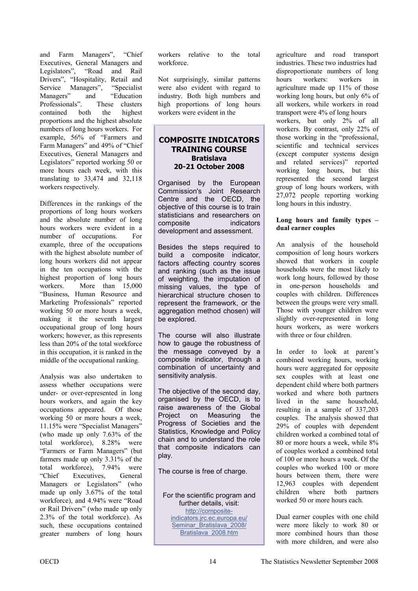and Farm Managers", "Chief Executives, General Managers and<br>Legislators", "Road and Rail "Road and Rail Drivers", "Hospitality, Retail and Service Managers", "Specialist Managers" and "Education Professionals". These clusters contained both the highest proportions and the highest absolute numbers of long hours workers. For example, 56% of "Farmers and Farm Managers" and 49% of "Chief Executives, General Managers and Legislators" reported working 50 or more hours each week, with this translating to 33,474 and 32,118 workers respectively.

Differences in the rankings of the proportions of long hours workers and the absolute number of long hours workers were evident in a number of occupations. For example, three of the occupations with the highest absolute number of long hours workers did not appear in the ten occupations with the highest proportion of long hours workers. More than 15,000 "Business, Human Resource and Marketing Professionals" reported working 50 or more hours a week, making it the seventh largest occupational group of long hours workers; however, as this represents less than 20% of the total workforce in this occupation, it is ranked in the middle of the occupational ranking.

Analysis was also undertaken to assess whether occupations were under- or over-represented in long hours workers, and again the key occupations appeared. Of those working 50 or more hours a week, 11.15% were "Specialist Managers" (who made up only 7.63% of the total workforce), 8.28% were "Farmers or Farm Managers" (but farmers made up only 3.31% of the total workforce), 7.94% were<br>
"Chief Executives General "Chief Executives Managers or Legislators" (who made up only 3.67% of the total workforce), and 4.94% were "Road or Rail Drivers" (who made up only 2.3% of the total workforce). As such, these occupations contained greater numbers of long hours workers relative to the total workforce.

Not surprisingly, similar patterns were also evident with regard to industry. Both high numbers and high proportions of long hours workers were evident in the

#### **COMPOSITE INDICATORS TRAINING COURSE Bratislava 20-21 October 2008**

Organised by the European Commission's Joint Research Centre and the OECD, the objective of this course is to train statisticians and researchers on composite indicators development and assessment.

Besides the steps required to build a composite indicator, factors affecting country scores and ranking (such as the issue of weighting, the imputation of missing values, the type of hierarchical structure chosen to represent the framework, or the aggregation method chosen) will be explored.

The course will also illustrate how to gauge the robustness of the message conveyed by a composite indicator, through a combination of uncertainty and sensitivity analysis.

The objective of the second day, organised by the OECD, is to raise awareness of the Global Project on Measuring the Progress of Societies and the Statistics, Knowledge and Policy chain and to understand the role that composite indicators can play.

The course is free of charge.

For the scientific program and further details, visit: http://composite[indicators.jrc.ec.europa.eu/](http://composite-indicators.jrc.ec.europa.eu/Seminar_Bratislava_2008/Bratislava_2008.htm) Seminar Bratislava 2008/ Bratislava\_2008.htm

agriculture and road transport industries. These two industries had disproportionate numbers of long hours workers: workers in agriculture made up 11% of those working long hours, but only 6% of all workers, while workers in road transport were 4% of long hours workers, but only 2% of all workers. By contrast, only 22% of those working in the "professional, scientific and technical services (except computer systems design and related services)" reported working long hours, but this represented the second largest group of long hours workers, with 27,072 people reporting working long hours in this industry.

#### **Long hours and family types – dual earner couples**

An analysis of the household composition of long hours workers showed that workers in couple households were the most likely to work long hours, followed by those in one-person households and couples with children. Differences between the groups were very small. Those with younger children were slightly over-represented in long hours workers, as were workers with three or four children.

In order to look at parent's combined working hours, working hours were aggregated for opposite sex couples with at least one dependent child where both partners worked and where both partners lived in the same household, resulting in a sample of 337,203 couples. The analysis showed that 29% of couples with dependent children worked a combined total of 80 or more hours a week, while 8% of couples worked a combined total of 100 or more hours a week. Of the couples who worked 100 or more hours between them, there were 12,963 couples with dependent children where both partners worked 50 or more hours each.

Dual earner couples with one child were more likely to work 80 or more combined hours than those with more children, and were also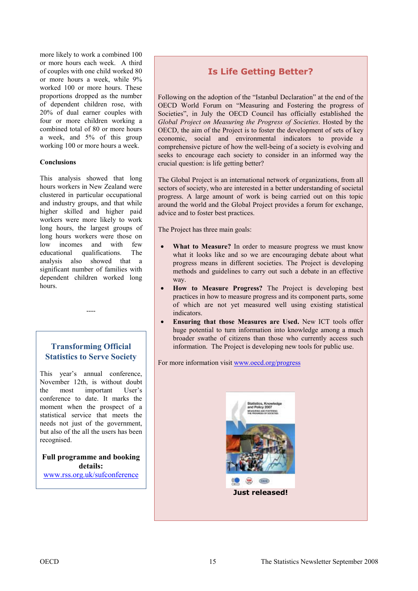more likely to work a combined 100 or more hours each week. A third of couples with one child worked 80 or more hours a week, while 9% worked 100 or more hours. These proportions dropped as the number of dependent children rose, with 20% of dual earner couples with four or more children working a combined total of 80 or more hours a week, and 5% of this group working 100 or more hours a week.

#### **Conclusions**

This analysis showed that long hours workers in New Zealand were clustered in particular occupational and industry groups, and that while higher skilled and higher paid workers were more likely to work long hours, the largest groups of long hours workers were those on low incomes and with few educational qualifications. The analysis also showed that a significant number of families with dependent children worked long hours.

# **Transforming Official Statistics to Serve Society**

----

This year's annual conference, November 12th, is without doubt the most important User's conference to date. It marks the moment when the prospect of a statistical service that meets the needs not just of the government, but also of the all the users has been recognised.

**Full programme and booking details:** www.rss.org.uk/sufconference

# **Is Life Getting Better?**

Following on the adoption of the "Istanbul Declaration" at the end of the OECD World Forum on "Measuring and Fostering the progress of Societies", in July the OECD Council has officially established the *Global Project on Measuring the Progress of Societies*. Hosted by the OECD, the aim of the Project is to foster the development of sets of key economic, social and environmental indicators to provide a comprehensive picture of how the well-being of a society is evolving and seeks to encourage each society to consider in an informed way the crucial question: is life getting better?

The Global Project is an international network of organizations, from all sectors of society, who are interested in a better understanding of societal progress. A large amount of work is being carried out on this topic around the world and the Global Project provides a forum for exchange, advice and to foster best practices.

The Project has three main goals:

- **What to Measure?** In order to measure progress we must know what it looks like and so we are encouraging debate about what progress means in different societies. The Project is developing methods and guidelines to carry out such a debate in an effective way.
- **How to Measure Progress?** The Project is developing best practices in how to measure progress and its component parts, some of which are not yet measured well using existing statistical indicators.
- **Ensuring that those Measures are Used.** New ICT tools offer huge potential to turn information into knowledge among a much broader swathe of citizens than those who currently access such information. The Project is developing new tools for public use.

For more information visit www.oecd.org/progress

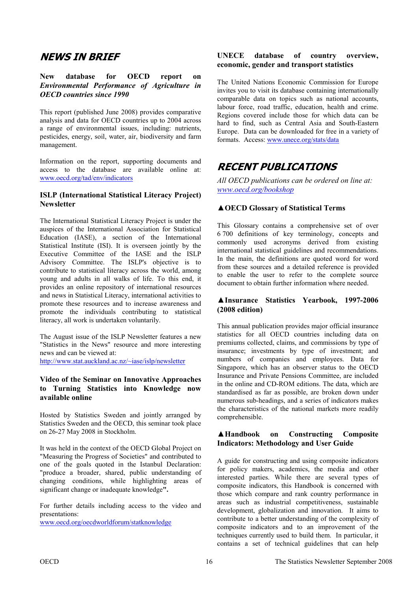# <span id="page-15-0"></span>**NEWS IN BRIEF**

#### **New database for OECD report on**  *Environmental Performance of Agriculture in OECD countries since 1990*

This report (published June 2008) provides comparative analysis and data for OECD countries up to 2004 across a range of environmental issues, including: nutrients, pesticides, energy, soil, water, air, biodiversity and farm management.

Information on the report, supporting documents and access to the database are available online at: www.oecd.org/tad/env/indicators

#### **ISLP (International Statistical Literacy Project) Newsletter**

The International Statistical Literacy Project is under the auspices of the International Association for Statistical Education (IASE), a section of the International Statistical Institute (ISI). It is overseen jointly by the Executive Committee of the IASE and the ISLP Advisory Committee. The ISLP's objective is to contribute to statistical literacy across the world, among young and adults in all walks of life. To this end, it provides an online repository of international resources and news in Statistical Literacy, international activities to promote these resources and to increase awareness and promote the individuals contributing to statistical literacy, all work is undertaken voluntarily.

The August issue of the ISLP Newsletter features a new "Statistics in the News" resource and more interesting news and can be viewed at:

http://www.stat.auckland.ac.nz/~iase/islp/newsletter

#### **Video of the Seminar on Innovative Approaches to Turning Statistics into Knowledge now available online**

Hosted by Statistics Sweden and jointly arranged by Statistics Sweden and the OECD, this seminar took place on 26-27 May 2008 in Stockholm.

It was held in the context of the OECD Global Project on "Measuring the Progress of Societies" and contributed to one of the goals quoted in the Istanbul Declaration: "produce a broader, shared, public understanding of changing conditions, while highlighting areas of significant change or inadequate knowledge**".** 

For further details including access to the video and presentations:

www.oecd.org/oecdworldforum/statknowledge

#### **UNECE database of country overview, economic, gender and transport statistics**

The United Nations Economic Commission for Europe invites you to visit its database containing internationally comparable data on topics such as national accounts, labour force, road traffic, education, health and crime. Regions covered include those for which data can be hard to find, such as Central Asia and South-Eastern Europe. Data can be downloaded for free in a variety of formats. Access: www.unece.org/stats/data

# **RECENT PUBLICATIONS**

*All OECD publications can be ordered on line at: www.oecd.org/bookshop*

### **▲OECD Glossary of Statistical Terms**

This Glossary contains a comprehensive set of over 6 700 definitions of key terminology, concepts and commonly used acronyms derived from existing international statistical guidelines and recommendations. In the main, the definitions are quoted word for word from these sources and a detailed reference is provided to enable the user to refer to the complete source document to obtain further information where needed.

#### **▲Insurance Statistics Yearbook, 1997-2006 (2008 edition)**

This annual publication provides major official insurance statistics for all OECD countries including data on premiums collected, claims, and commissions by type of insurance; investments by type of investment; and numbers of companies and employees. Data for Singapore, which has an observer status to the OECD Insurance and Private Pensions Committee, are included in the online and CD-ROM editions. The data, which are standardised as far as possible, are broken down under numerous sub-headings, and a series of indicators makes the characteristics of the national markets more readily comprehensible.

#### **▲Handbook on Constructing Composite Indicators: Methodology and User Guide**

A guide for constructing and using composite indicators for policy makers, academics, the media and other interested parties. While there are several types of composite indicators, this Handbook is concerned with those which compare and rank country performance in areas such as industrial competitiveness, sustainable development, globalization and innovation. It aims to contribute to a better understanding of the complexity of composite indicators and to an improvement of the techniques currently used to build them. In particular, it contains a set of technical guidelines that can help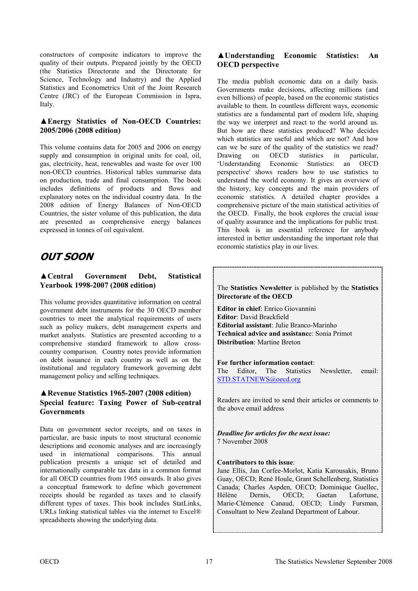constructors of composite indicators to improve the quality of their outputs. Prepared jointly by the OECD (the Statistics Directorate and the Directorate for Science, Technology and Industry) and the Applied Statistics and Econometrics Unit of the Joint Research Centre (JRC) of the European Commission in Ispra, Italy.

#### **▲Energy Statistics of Non-OECD Countries: 2005/2006 (2008 edition)**

This volume contains data for 2005 and 2006 on energy supply and consumption in original units for coal, oil, gas, electricity, heat, renewables and waste for over 100 non-OECD countries. Historical tables summarise data on production, trade and final consumption. The book includes definitions of products and flows and explanatory notes on the individual country data. In the 2008 edition of Energy Balances of Non-OECD Countries, the sister volume of this publication, the data are presented as comprehensive energy balances expressed in tonnes of oil equivalent.

# **OUT SOON**

#### **▲Central Government Debt, Statistical Yearbook 1998-2007 (2008 edition)**

This volume provides quantitative information on central government debt instruments for the 30 OECD member countries to meet the analytical requirements of users such as policy makers, debt management experts and market analysts. Statistics are presented according to a comprehensive standard framework to allow crosscountry comparison. Country notes provide information on debt issuance in each country as well as on the institutional and regulatory framework governing debt management policy and selling techniques.

### **▲Revenue Statistics 1965-2007 (2008 edition) Special feature: Taxing Power of Sub-central Governments**

Data on government sector receipts, and on taxes in particular, are basic inputs to most structural economic descriptions and economic analyses and are increasingly used in international comparisons. This annual publication presents a unique set of detailed and internationally comparable tax data in a common format for all OECD countries from 1965 onwards. It also gives a conceptual framework to define which government receipts should be regarded as taxes and to classify different types of taxes. This book includes StatLinks, URLs linking statistical tables via the internet to Excel® spreadsheets showing the underlying data.

### **▲Understanding Economic Statistics: An OECD perspective**

The media publish economic data on a daily basis. Governments make decisions, affecting millions (and even billions) of people, based on the economic statistics available to them. In countless different ways, economic statistics are a fundamental part of modern life, shaping the way we interpret and react to the world around us. But how are these statistics produced? Who decides which statistics are useful and which are not? And how can we be sure of the quality of the statistics we read? Drawing on OECD statistics in particular, 'Understanding Economic Statistics: an OECD perspective' shows readers how to use statistics to understand the world economy. It gives an overview of the history, key concepts and the main providers of economic statistics. A detailed chapter provides a comprehensive picture of the main statistical activities of the OECD. Finally, the book explores the crucial issue of quality assurance and the implications for public trust. This book is an essential reference for anybody interested in better understanding the important role that economic statistics play in our lives.



#### **Contributors to this issue**:

Jane Ellis, Jan Corfee-Morlot, Katia Karousakis, Bruno Guay, OECD; René Houle, Grant Schellenberg, Statistics Canada; Charles Aspden, OECD; Dominique Guellec, Hélène Dernis, OECD; Gaetan Lafortune, Marie-Clémence Canaud, OECD; Lindy Fursman, Consultant to New Zealand Department of Labour.